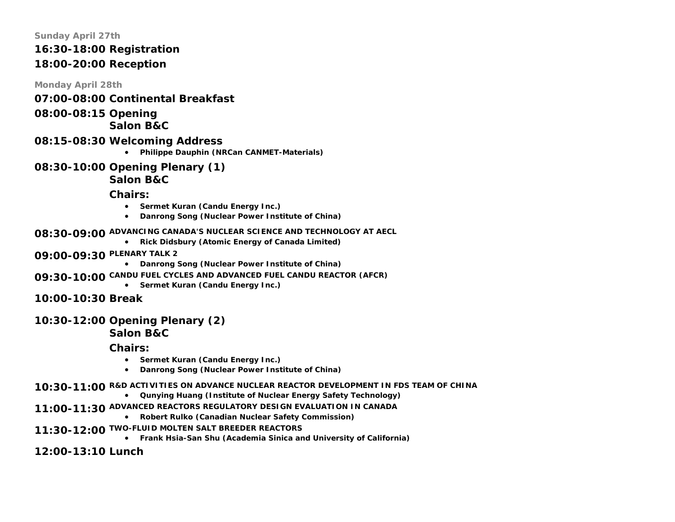#### **Sunday April 27th**

# **16:30-18:00 Registration**

# **18:00-20:00 Reception**

**Monday April 28th** 

- **07:00-08:00 Continental Breakfast**
- **08:00-08:15 Opening**

# **Salon B&C**

- **08:15-08:30 Welcoming Address**
	- **Philippe Dauphin (NRCan CANMET-Materials)**
- **08:30-10:00 Opening Plenary (1)**

# **Salon B&C**

**Chairs:** 

- **Sermet Kuran (Candu Energy Inc.)**
- **Danrong Song (Nuclear Power Institute of China)**
- **08:30-09:00 ADVANCING CANADA'S NUCLEAR SCIENCE AND TECHNOLOGY AT AECL** 
	- **Rick Didsbury (Atomic Energy of Canada Limited)**
- **09:00-09:30 PLENARY TALK 2**
	- **Danrong Song (Nuclear Power Institute of China)**
- **09:30-10:00 CANDU FUEL CYCLES AND ADVANCED FUEL CANDU REACTOR (AFCR)**
	- **Sermet Kuran (Candu Energy Inc.)**
- **10:00-10:30 Break**

# **10:30-12:00 Opening Plenary (2)**

**Salon B&C** 

**Chairs:** 

- **Sermet Kuran (Candu Energy Inc.)**
- **Danrong Song (Nuclear Power Institute of China)**
- **10:30-11:00 R&D ACTIVITIES ON ADVANCE NUCLEAR REACTOR DEVELOPMENT IN FDS TEAM OF CHINA**
	- **Qunying Huang (Institute of Nuclear Energy Safety Technology)**
- **11:00-11:30 ADVANCED REACTORS REGULATORY DESIGN EVALUATION IN CANADA**
	- **Robert Rulko (Canadian Nuclear Safety Commission)**
- **11:30-12:00 TWO-FLUID MOLTEN SALT BREEDER REACTORS**
	- **Frank Hsia-San Shu (Academia Sinica and University of California)**

**12:00-13:10 Lunch**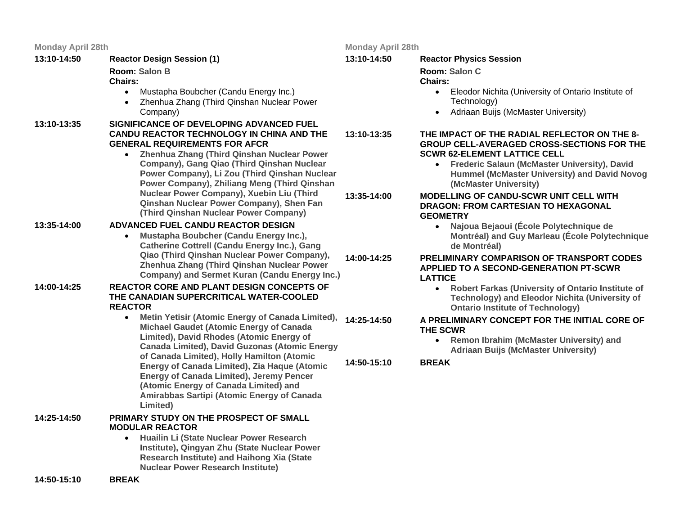| <b>Monday April 28th</b> |                                                                                                                                                                                                                                                                                                                                                                                                                                                                                  | <b>Monday April 28th</b> |                                                                                                                                                                                                                                                                                              |
|--------------------------|----------------------------------------------------------------------------------------------------------------------------------------------------------------------------------------------------------------------------------------------------------------------------------------------------------------------------------------------------------------------------------------------------------------------------------------------------------------------------------|--------------------------|----------------------------------------------------------------------------------------------------------------------------------------------------------------------------------------------------------------------------------------------------------------------------------------------|
| 13:10-14:50              | <b>Reactor Design Session (1)</b>                                                                                                                                                                                                                                                                                                                                                                                                                                                | 13:10-14:50              | <b>Reactor Physics Session</b>                                                                                                                                                                                                                                                               |
|                          | Room: Salon B<br><b>Chairs:</b><br>Mustapha Boubcher (Candu Energy Inc.)<br>$\bullet$<br>Zhenhua Zhang (Third Qinshan Nuclear Power<br>$\bullet$<br>Company)                                                                                                                                                                                                                                                                                                                     |                          | Room: Salon C<br><b>Chairs:</b><br>• Eleodor Nichita (University of Ontario Institute of<br>Technology)<br>Adriaan Buijs (McMaster University)<br>$\bullet$                                                                                                                                  |
| 13:10-13:35              | SIGNIFICANCE OF DEVELOPING ADVANCED FUEL<br><b>CANDU REACTOR TECHNOLOGY IN CHINA AND THE</b><br><b>GENERAL REQUIREMENTS FOR AFCR</b><br>Zhenhua Zhang (Third Qinshan Nuclear Power<br>$\bullet$<br>Company), Gang Qiao (Third Qinshan Nuclear<br>Power Company), Li Zou (Third Qinshan Nuclear<br>Power Company), Zhiliang Meng (Third Qinshan<br>Nuclear Power Company), Xuebin Liu (Third<br>Qinshan Nuclear Power Company), Shen Fan<br>(Third Qinshan Nuclear Power Company) | 13:10-13:35              | THE IMPACT OF THE RADIAL REFLECTOR ON THE 8-<br><b>GROUP CELL-AVERAGED CROSS-SECTIONS FOR THE</b><br><b>SCWR 62-ELEMENT LATTICE CELL</b><br><b>Frederic Salaun (McMaster University), David</b><br>$\bullet$<br><b>Hummel (McMaster University) and David Novog</b><br>(McMaster University) |
|                          |                                                                                                                                                                                                                                                                                                                                                                                                                                                                                  | 13:35-14:00              | <b>MODELLING OF CANDU-SCWR UNIT CELL WITH</b><br><b>DRAGON: FROM CARTESIAN TO HEXAGONAL</b><br><b>GEOMETRY</b>                                                                                                                                                                               |
| 13:35-14:00              | ADVANCED FUEL CANDU REACTOR DESIGN<br>Mustapha Boubcher (Candu Energy Inc.),<br>$\bullet$<br><b>Catherine Cottrell (Candu Energy Inc.), Gang</b><br>Qiao (Third Qinshan Nuclear Power Company),<br>Zhenhua Zhang (Third Qinshan Nuclear Power<br>Company) and Sermet Kuran (Candu Energy Inc.)                                                                                                                                                                                   |                          | Najoua Bejaoui (École Polytechnique de<br>$\bullet$<br>Montréal) and Guy Marleau (École Polytechnique<br>de Montréal)                                                                                                                                                                        |
|                          |                                                                                                                                                                                                                                                                                                                                                                                                                                                                                  | 14:00-14:25              | PRELIMINARY COMPARISON OF TRANSPORT CODES<br><b>APPLIED TO A SECOND-GENERATION PT-SCWR</b><br><b>LATTICE</b>                                                                                                                                                                                 |
| 14:00-14:25              | REACTOR CORE AND PLANT DESIGN CONCEPTS OF<br>THE CANADIAN SUPERCRITICAL WATER-COOLED<br><b>REACTOR</b>                                                                                                                                                                                                                                                                                                                                                                           |                          | <b>Robert Farkas (University of Ontario Institute of</b><br>$\bullet$<br><b>Technology) and Eleodor Nichita (University of</b><br><b>Ontario Institute of Technology)</b>                                                                                                                    |
|                          | Metin Yetisir (Atomic Energy of Canada Limited),<br>$\bullet$<br><b>Michael Gaudet (Atomic Energy of Canada</b><br>Limited), David Rhodes (Atomic Energy of<br><b>Canada Limited), David Guzonas (Atomic Energy</b><br>of Canada Limited), Holly Hamilton (Atomic<br>Energy of Canada Limited), Zia Haque (Atomic<br><b>Energy of Canada Limited), Jeremy Pencer</b><br>(Atomic Energy of Canada Limited) and<br>Amirabbas Sartipi (Atomic Energy of Canada<br>Limited)          | 14:25-14:50              | A PRELIMINARY CONCEPT FOR THE INITIAL CORE OF<br><b>THE SCWR</b><br>• Remon Ibrahim (McMaster University) and<br><b>Adriaan Buijs (McMaster University)</b>                                                                                                                                  |
|                          |                                                                                                                                                                                                                                                                                                                                                                                                                                                                                  | 14:50-15:10              | <b>BREAK</b>                                                                                                                                                                                                                                                                                 |
| 14:25-14:50              | PRIMARY STUDY ON THE PROSPECT OF SMALL<br><b>MODULAR REACTOR</b><br>Huailin Li (State Nuclear Power Research                                                                                                                                                                                                                                                                                                                                                                     |                          |                                                                                                                                                                                                                                                                                              |
|                          | $\bullet$<br>Institute), Qingyan Zhu (State Nuclear Power<br>Research Institute) and Haihong Xia (State                                                                                                                                                                                                                                                                                                                                                                          |                          |                                                                                                                                                                                                                                                                                              |

**Nuclear Power Research Institute)**

**14:50-15:10** 

**BREAK**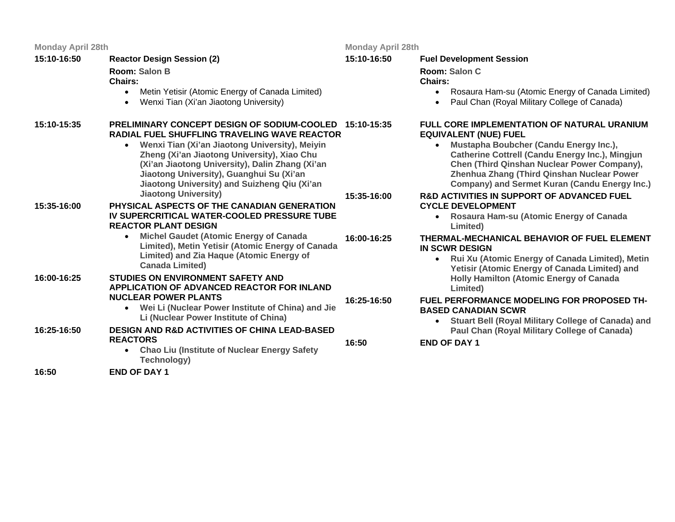| <b>Monday April 28th</b> |                                                                                                                                                                                                                                                                                                                                                                                    | <b>Monday Apr</b> |
|--------------------------|------------------------------------------------------------------------------------------------------------------------------------------------------------------------------------------------------------------------------------------------------------------------------------------------------------------------------------------------------------------------------------|-------------------|
| 15:10-16:50              | <b>Reactor Design Session (2)</b><br>Room: Salon B<br><b>Chairs:</b><br>Metin Yetisir (Atomic Energy of Canada Limited)<br>$\bullet$<br>Wenxi Tian (Xi'an Jiaotong University)<br>$\bullet$                                                                                                                                                                                        | 15:10-16:50       |
| 15:10-15:35              | <b>PRELIMINARY CONCEPT DESIGN OF SODIUM-COOLED 15:10-15:35</b><br><b>RADIAL FUEL SHUFFLING TRAVELING WAVE REACTOR</b><br>Wenxi Tian (Xi'an Jiaotong University), Meiyin<br>$\bullet$<br>Zheng (Xi'an Jiaotong University), Xiao Chu<br>(Xi'an Jiaotong University), Dalin Zhang (Xi'an<br>Jiaotong University), Guanghui Su (Xi'an<br>Jiaotong University) and Suizheng Qiu (Xi'an |                   |
| 15:35-16:00              | <b>Jiaotong University)</b><br>PHYSICAL ASPECTS OF THE CANADIAN GENERATION<br>IV SUPERCRITICAL WATER-COOLED PRESSURE TUBE<br><b>REACTOR PLANT DESIGN</b>                                                                                                                                                                                                                           | 15:35-16:00       |
|                          | <b>Michel Gaudet (Atomic Energy of Canada</b><br>$\bullet$<br>Limited), Metin Yetisir (Atomic Energy of Canada<br>Limited) and Zia Haque (Atomic Energy of                                                                                                                                                                                                                         | 16:00-16:25       |

- **Canada Limited)**
- **16:00-16:25 STUDIES ON ENVIRONMENT SAFETY AND APPLICATION OF ADVANCED REACTOR FOR INLAND NUCLEAR POWER PLANTS** 
	- **Wei Li (Nuclear Power Institute of China) and Jie Li (Nuclear Power Institute of China)**
- **16:25-16:50 DESIGN AND R&D ACTIVITIES OF CHINA LEAD-BASED REACTORS 16:50**
	- **Chao Liu (Institute of Nuclear Energy Safety Technology)**
- **16:50 END OF DAY 1**

**Monday April 28th** 

**16:25-16:50**

#### **15:10-16:50Fuel Development Session**

**Room: Salon C**

## **Chairs:**

- Rosaura Ham-su (Atomic Energy of Canada Limited)
- Paul Chan (Royal Military College of Canada)

## **FULL CORE IMPLEMENTATION OF NATURAL URANIUM EQUIVALENT (NUE) FUEL**

• **Mustapha Boubcher (Candu Energy Inc.), Catherine Cottrell (Candu Energy Inc.), Mingjun Chen (Third Qinshan Nuclear Power Company), Zhenhua Zhang (Third Qinshan Nuclear Power Company) and Sermet Kuran (Candu Energy Inc.)**

### **R&D ACTIVITIES IN SUPPORT OF ADVANCED FUEL CYCLE DEVELOPMENT**

• **Rosaura Ham-su (Atomic Energy of Canada Limited)**

## **THERMAL-MECHANICAL BEHAVIOR OF FUEL ELEMENT IN SCWR DESIGN**

• **Rui Xu (Atomic Energy of Canada Limited), Metin Yetisir (Atomic Energy of Canada Limited) and Holly Hamilton (Atomic Energy of Canada Limited)**

## **FUEL PERFORMANCE MODELING FOR PROPOSED TH-BASED CANADIAN SCWR**

• **Stuart Bell (Royal Military College of Canada) and Paul Chan (Royal Military College of Canada)**

**END OF DAY 1**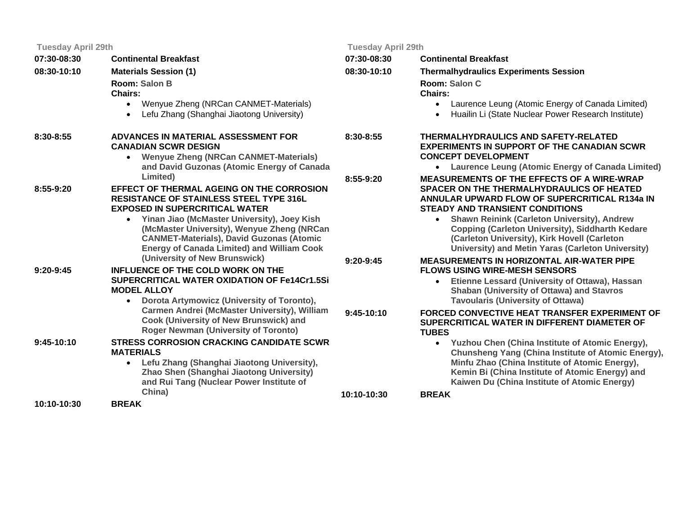**07:30-08:30 Continental Breakfast 08:30-10:10 Materials Session (1) Room: Salon BChairs:** • Wenyue Zheng (NRCan CANMET-Ma • Lefu Zhang (Shanghai Jiaotong University) **8:30-8:55ADVANCES IN MATERIAL ASSESSMENT FOR CANADIAN SCWR DESIGN** • **Wenyue Zheng (NRCan CANMET-Materials)**  and David Guzonas (Atomic Energy **Limited) 8:55-9:20EFFECT OF THERMAL AGEING ON THE CO RESISTANCE OF STAINLESS STEEL TYPE EXPOSED IN SUPERCRITICAL WATER** • **Yinan Jiao (McMaster University), Joey Kish (McMaster University), Wenyue Zher CANMET-Materials), David Guzonas Energy of Canada Limited) and Willi (University of New Brunswick) 9:20-9:45 INFLUENCE OF THE COLD WORK ON THE SUPERCRITICAL WATER OXIDATION OF F MODEL ALLOY** • **Dorota Artymowicz (University of Toronto), Carmen Andrei (McMaster Universit Cook (University of New Brunswick) Roger Newman (University of Toron 9:45-10:10STRESS CORROSION CRACKING CANDIDATE MATERIALS** • **Lefu Zhang (Shanghai Jiaotong University), Zhao Shen (Shanghai Jiaotong University)** and Rui Tang (Nuclear Power Institute **China) 10:10-10:30 BREAK 10:10-10:30**

|                                                       | <b>Tuesday April 29th</b> |                                                                                                                                                                                                            |
|-------------------------------------------------------|---------------------------|------------------------------------------------------------------------------------------------------------------------------------------------------------------------------------------------------------|
|                                                       | 07:30-08:30               | <b>Continental Breakfast</b>                                                                                                                                                                               |
|                                                       | 08:30-10:10               | <b>Thermalhydraulics Experiments Session</b>                                                                                                                                                               |
|                                                       |                           | Room: Salon C<br><b>Chairs:</b>                                                                                                                                                                            |
| terials)<br>rsity)                                    |                           | Laurence Leung (Atomic Energy of Canada Limited)<br>$\bullet$<br>Huailin Li (State Nuclear Power Research Institute)<br>$\bullet$                                                                          |
| <b>OR</b><br>aterials)                                | 8:30-8:55                 | <b>THERMALHYDRAULICS AND SAFETY-RELATED</b><br><b>EXPERIMENTS IN SUPPORT OF THE CANADIAN SCWR</b><br><b>CONCEPT DEVELOPMENT</b>                                                                            |
| of Canada                                             |                           | Laurence Leung (Atomic Energy of Canada Limited)                                                                                                                                                           |
| <b>DRROSION</b><br>316L                               | 8:55-9:20                 | <b>MEASUREMENTS OF THE EFFECTS OF A WIRE-WRAP</b><br><b>SPACER ON THE THERMALHYDRAULICS OF HEATED</b><br><b>ANNULAR UPWARD FLOW OF SUPERCRITICAL R134a IN</b><br><b>STEADY AND TRANSIENT CONDITIONS</b>    |
| oey Kish<br>ng (NRCan<br><b>S</b> (Atomic<br>iam Cook |                           | Shawn Reinink (Carleton University), Andrew<br><b>Copping (Carleton University), Siddharth Kedare</b><br>(Carleton University), Kirk Hovell (Carleton<br>University) and Metin Yaras (Carleton University) |
|                                                       | $9:20-9:45$               | <b>MEASUREMENTS IN HORIZONTAL AIR-WATER PIPE</b><br><b>FLOWS USING WIRE-MESH SENSORS</b>                                                                                                                   |
| e14Cr1.5Si<br>oronto),                                |                           | Etienne Lessard (University of Ottawa), Hassan<br>$\bullet$<br><b>Shaban (University of Ottawa) and Stavros</b><br><b>Tavoularis (University of Ottawa)</b>                                                |
| y), William<br>) and<br>) (i                          | $9:45-10:10$              | <b>FORCED CONVECTIVE HEAT TRANSFER EXPERIMENT OF</b><br>SUPERCRITICAL WATER IN DIFFERENT DIAMETER OF<br><b>TUBES</b>                                                                                       |
| <b>ATE SCWR</b><br>versity),                          |                           | Yuzhou Chen (China Institute of Atomic Energy),<br>$\bullet$<br>Chunsheng Yang (China Institute of Atomic Energy),<br>Minfu Zhao (China Institute of Atomic Energy),                                       |
| versity)<br>ite of                                    |                           | Kemin Bi (China Institute of Atomic Energy) and<br>Kaiwen Du (China Institute of Atomic Energy)                                                                                                            |
|                                                       | 10:10-10:30               | <b>BREAK</b>                                                                                                                                                                                               |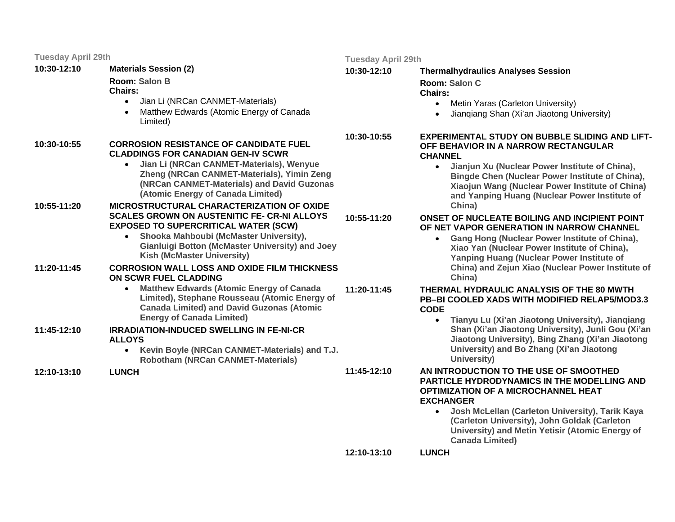**10:30-12:10Materials Session (2)** 

**Room: Salon B**

**Chairs:** 

- Jian Li (NRCan CANMET-Materials)
- Matthew Edwards (Atomic Energy of Canada Limited)

#### **10:30-10:55 CORROSION RESISTANCE OF CANDIDATE FUEL CLADDINGS FOR CANADIAN GEN-IV SCWR**

- • **Jian Li (NRCan CANMET-Materials), Wenyue Zheng (NRCan CANMET-Materials), Yimin Zeng (NRCan CANMET-Materials) and David Guzonas (Atomic Energy of Canada Limited)**
- **10:55-11:20 MICROSTRUCTURAL CHARACTERIZATION OF OXIDE SCALES GROWN ON AUSTENITIC FE- CR-NI ALLOYS EXPOSED TO SUPERCRITICAL WATER (SCW)** 
	- • **Shooka Mahboubi (McMaster University), Gianluigi Botton (McMaster University) and Joey Kish (McMaster University)**
- **11:20-11:45 CORROSION WALL LOSS AND OXIDE FILM THICKNESS ON SCWR FUEL CLADDING** 
	- **Matthew Edwards (Atomic Energy of Canada Limited), Stephane Rousseau (Atomic Energy of Canada Limited) and David Guzonas (Atomic Energy of Canada Limited) 11:20-11:45**

#### **11:45-12:10 IRRADIATION-INDUCED SWELLING IN FE-NI-CR ALLOYS**

- **Kevin Boyle (NRCan CANMET-Materials) and T.J. Robotham (NRCan CANMET-Materials)**
- **12:10-13:10LUNCH**

**Tuesday April 29th** 

**10:55-11:20**

**11:45-12:10**

#### **10:30-12:10 Thermalhydraulics Analyses Session Room: Salon CChairs:**

- Metin Yaras (Carleton University)
- Jianqiang Shan (Xi'an Jiaotong University)

**10:30-10:55 EXPERIMENTAL STUDY ON BUBBLE SLIDING AND LIFT-OFF BEHAVIOR IN A NARROW RECTANGULAR CHANNEL** 

> • **Jianjun Xu (Nuclear Power Institute of China), Bingde Chen (Nuclear Power Institute of China), Xiaojun Wang (Nuclear Power Institute of China) and Yanping Huang (Nuclear Power Institute of China)**

#### **ONSET OF NUCLEATE BOILING AND INCIPIENT POINT OF NET VAPOR GENERATION IN NARROW CHANNEL**

• **Gang Hong (Nuclear Power Institute of China), Xiao Yan (Nuclear Power Institute of China), Yanping Huang (Nuclear Power Institute of China) and Zejun Xiao (Nuclear Power Institute of China)**

### **THERMAL HYDRAULIC ANALYSIS OF THE 80 MWTH PB–BI COOLED XADS WITH MODIFIED RELAP5/MOD3.3 CODE**

• **Tianyu Lu (Xi'an Jiaotong University), Jianqiang Shan (Xi'an Jiaotong University), Junli Gou (Xi'an Jiaotong University), Bing Zhang (Xi'an Jiaotong University) and Bo Zhang (Xi'an Jiaotong University)**

#### **AN INTRODUCTION TO THE USE OF SMOOTHED PARTICLE HYDRODYNAMICS IN THE MODELLING AND OPTIMIZATION OF A MICROCHANNEL HEAT EXCHANGER**

• **Josh McLellan (Carleton University), Tarik Kaya (Carleton University), John Goldak (Carleton University) and Metin Yetisir (Atomic Energy of Canada Limited)**

**12:10-13:10LUNCH**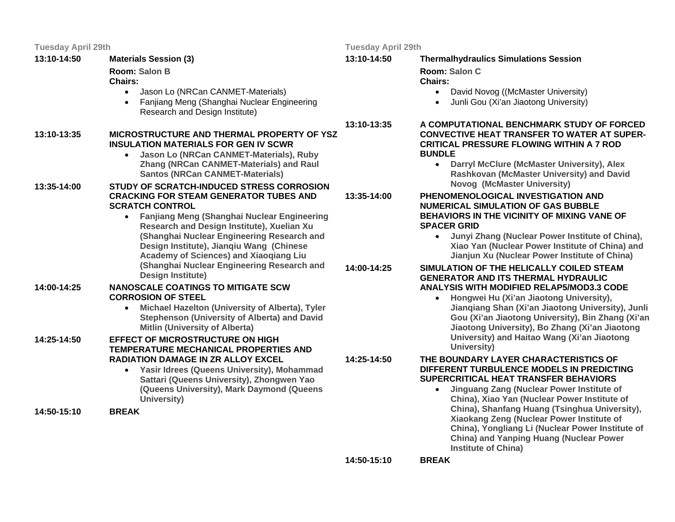**13:10-14:50 Materials Session (3) Room: Salon BChairs:** • Jason Lo (NRCan CANMET-Materials) • Fanjiang Meng (Shanghai Nuclear Engineering Research and Design Institute) **13:10-13:35 MICROSTRUCTURE AND THERMAL PROPERTY OF YSZ INSULATION MATERIALS FOR GEN IV SCWR** • **Jason Lo (NRCan CANMET-Materials), Ruby Zhang (NRCan CANMET-Materials) and Raul Santos (NRCan CANMET-Materials) 13:35-14:00 STUDY OF SCRATCH-INDUCED STRESS CORROSION CRACKING FOR STEAM GENERATOR TUBES AND SCRATCH CONTROL** • **Fanjiang Meng (Shanghai Nuclear Engineering Research and Design Institute), Xuelian Xu (Shanghai Nuclear Engineering Research and Design Institute), Jianqiu Wang (Chinese Academy of Sciences) and Xiaoqiang Liu (Shanghai Nuclear Engineering Research and Design Institute) 14:00-14:25 NANOSCALE COATINGS TO MITIGATE SCW CORROSION OF STEEL** • **Michael Hazelton (University of Alberta), Tyler Stephenson (University of Alberta) and David Mitlin (University of Alberta) 14:25-14:50 EFFECT OF MICROSTRUCTURE ON HIGH TEMPERATURE MECHANICAL PROPERTIES AND RADIATION DAMAGE IN ZR ALLOY EXCEL** • **Yasir Idrees (Queens University), Mohammad Sattari (Queens University), Zhongwen Yao (Queens University), Mark Daymond (Queens University) 14:50-15:10 BREAK 13:10-14:5013:10-13:3513:35-14:0014:00-14:2514:25-14:50**

**Tuesday April 29th** 

 **Thermalhydraulics Simulations Session Room: Salon C**

### **Chairs:**

- David Novog ((McMaster University)
- Junli Gou (Xi'an Jiaotong University)

 **A COMPUTATIONAL BENCHMARK STUDY OF FORCED CONVECTIVE HEAT TRANSFER TO WATER AT SUPER-CRITICAL PRESSURE FLOWING WITHIN A 7 ROD BUNDLE** 

• **Darryl McClure (McMaster University), Alex Rashkovan (McMaster University) and David Novog (McMaster University)**

 **PHENOMENOLOGICAL INVESTIGATION AND NUMERICAL SIMULATION OF GAS BUBBLE BEHAVIORS IN THE VICINITY OF MIXING VANE OF SPACER GRID** 

> • **Junyi Zhang (Nuclear Power Institute of China), Xiao Yan (Nuclear Power Institute of China) and Jianjun Xu (Nuclear Power Institute of China)**

### **SIMULATION OF THE HELICALLY COILED STEAM GENERATOR AND ITS THERMAL HYDRAULIC ANALYSIS WITH MODIFIED RELAP5/MOD3.3 CODE**

• **Hongwei Hu (Xi'an Jiaotong University), Jianqiang Shan (Xi'an Jiaotong University), Junli Gou (Xi'an Jiaotong University), Bin Zhang (Xi'an Jiaotong University), Bo Zhang (Xi'an Jiaotong University) and Haitao Wang (Xi'an Jiaotong University)**

 **THE BOUNDARY LAYER CHARACTERISTICS OF DIFFERENT TURBULENCE MODELS IN PREDICTING SUPERCRITICAL HEAT TRANSFER BEHAVIORS** 

> • **Jinguang Zang (Nuclear Power Institute of China), Xiao Yan (Nuclear Power Institute of China), Shanfang Huang (Tsinghua University), Xiaokang Zeng (Nuclear Power Institute of China), Yongliang Li (Nuclear Power Institute of China) and Yanping Huang (Nuclear Power Institute of China)**

**14:50-15:10**

**BREAK**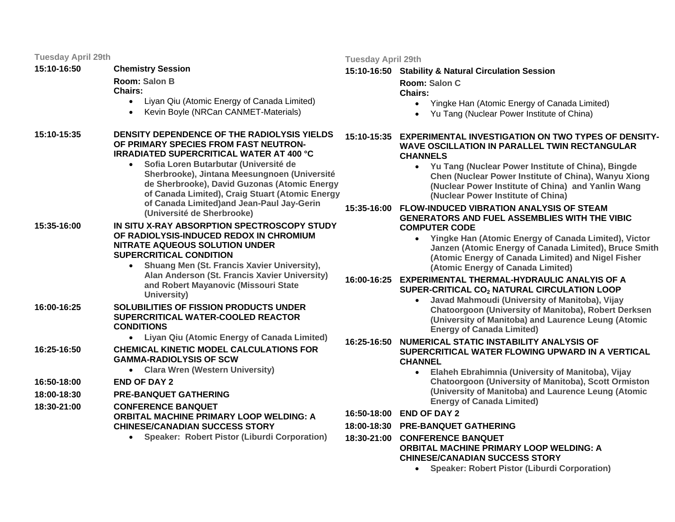**15:10-16:50Chemistry Session** 

**Room: Salon B**

## **Chairs:**

- Liyan Qiu (Atomic Energy of Canada Limited)
- Kevin Boyle (NRCan CANMET-Materials)
- **15:10-15:35 DENSITY DEPENDENCE OF THE RADIOLYSIS YIELDS OF PRIMARY SPECIES FROM FAST NEUTRON-IRRADIATED SUPERCRITICAL WATER AT 400 °C** 
	- **Sofia Loren Butarbutar (Université de Sherbrooke), Jintana Meesungnoen (Université de Sherbrooke), David Guzonas (Atomic Energy of Canada Limited), Craig Stuart (Atomic Energy of Canada Limited)and Jean-Paul Jay-Gerin (Université de Sherbrooke)**

#### **15:35-16:00 IN SITU X-RAY ABSORPTION SPECTROSCOPY STUDY OF RADIOLYSIS-INDUCED REDOX IN CHROMIUM NITRATE AQUEOUS SOLUTION UNDER SUPERCRITICAL CONDITION**

- **Shuang Men (St. Francis Xavier University), Alan Anderson (St. Francis Xavier University) and Robert Mayanovic (Missouri State University)**
- **16:00-16:25 SOLUBILITIES OF FISSION PRODUCTS UNDER SUPERCRITICAL WATER-COOLED REACTOR CONDITIONS** 
	- **Liyan Qiu (Atomic Energy of Canada Limited)**
- **16:25-16:50 CHEMICAL KINETIC MODEL CALCULATIONS FOR GAMMA-RADIOLYSIS OF SCW** 
	- **Clara Wren (Western University)**
- **16:50-18:00END OF DAY 2**
- **18:00-18:30PRE-BANQUET GATHERING**

**18:30-21:00CONFERENCE BANQUET** 

#### **ORBITAL MACHINE PRIMARY LOOP WELDING: A CHINESE/CANADIAN SUCCESS STORY**

• **Speaker: Robert Pistor (Liburdi Corporation)**

#### **Tuesday April 29th**

## **15:10-16:50 Stability & Natural Circulation Session**

**Room: Salon CChairs:** 

- Yingke Han (Atomic Energy of Canada Limited)
- Yu Tang (Nuclear Power Institute of China)

### **15:10-15:35 EXPERIMENTAL INVESTIGATION ON TWO TYPES OF DENSITY-WAVE OSCILLATION IN PARALLEL TWIN RECTANGULAR CHANNELS**

• **Yu Tang (Nuclear Power Institute of China), Bingde Chen (Nuclear Power Institute of China), Wanyu Xiong (Nuclear Power Institute of China) and Yanlin Wang (Nuclear Power Institute of China)**

#### **15:35-16:00 FLOW-INDUCED VIBRATION ANALYSIS OF STEAM GENERATORS AND FUEL ASSEMBLIES WITH THE VIBIC COMPUTER CODE**

• **Yingke Han (Atomic Energy of Canada Limited), Victor Janzen (Atomic Energy of Canada Limited), Bruce Smith (Atomic Energy of Canada Limited) and Nigel Fisher (Atomic Energy of Canada Limited)**

### **16:00-16:25 EXPERIMENTAL THERMAL-HYDRAULIC ANALYIS OF A SUPER-CRITICAL CO<sub>2</sub> NATURAL CIRCULATION LOOP**

• **Javad Mahmoudi (University of Manitoba), Vijay Chatoorgoon (University of Manitoba), Robert Derksen (University of Manitoba) and Laurence Leung (Atomic Energy of Canada Limited)**

#### **16:25-16:50 NUMERICAL STATIC INSTABILITY ANALYSIS OF SUPERCRITICAL WATER FLOWING UPWARD IN A VERTICAL CHANNEL**

- **Elaheh Ebrahimnia (University of Manitoba), Vijay Chatoorgoon (University of Manitoba), Scott Ormiston (University of Manitoba) and Laurence Leung (Atomic Energy of Canada Limited)**
- **16:50-18:00 END OF DAY 2**
- **18:00-18:30 PRE-BANQUET GATHERING**

**18:30-21:00 CONFERENCE BANQUET ORBITAL MACHINE PRIMARY LOOP WELDING: A** 

#### **CHINESE/CANADIAN SUCCESS STORY**

• **Speaker: Robert Pistor (Liburdi Corporation)**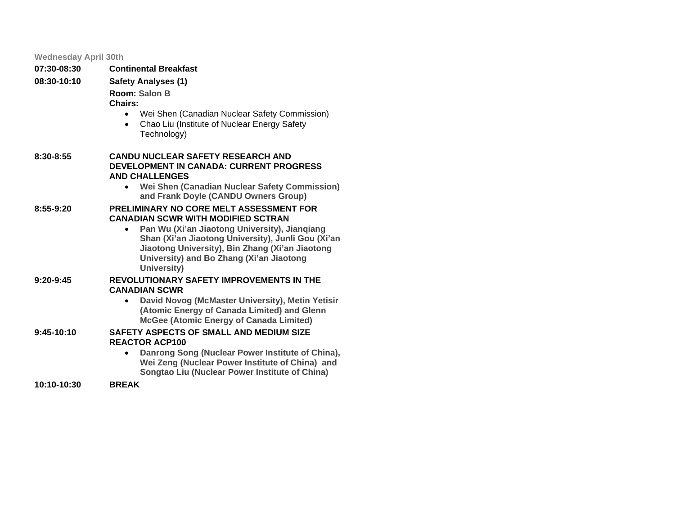| <b>Wednesday April 30th</b> |                                                                                                                         |
|-----------------------------|-------------------------------------------------------------------------------------------------------------------------|
| 07:30-08:30                 | <b>Continental Breakfast</b>                                                                                            |
| 08:30-10:10                 | <b>Safety Analyses (1)</b>                                                                                              |
|                             | Room: Salon B                                                                                                           |
|                             | <b>Chairs:</b>                                                                                                          |
|                             | Wei Shen (Canadian Nuclear Safety Commission)<br>$\bullet$<br>Chao Liu (Institute of Nuclear Energy Safety<br>$\bullet$ |
|                             | Technology)                                                                                                             |
| 8:30-8:55                   | <b>CANDU NUCLEAR SAFETY RESEARCH AND</b>                                                                                |
|                             | <b>DEVELOPMENT IN CANADA: CURRENT PROGRESS</b><br><b>AND CHALLENGES</b>                                                 |
|                             | Wei Shen (Canadian Nuclear Safety Commission)<br>$\bullet$                                                              |
|                             | and Frank Doyle (CANDU Owners Group)                                                                                    |
| $8:55-9:20$                 | <b>PRELIMINARY NO CORE MELT ASSESSMENT FOR</b><br><b>CANADIAN SCWR WITH MODIFIED SCTRAN</b>                             |
|                             | Pan Wu (Xi'an Jiaotong University), Jiangiang<br>$\bullet$                                                              |
|                             | Shan (Xi'an Jiaotong University), Junli Gou (Xi'an                                                                      |
|                             | Jiaotong University), Bin Zhang (Xi'an Jiaotong<br>University) and Bo Zhang (Xi'an Jiaotong                             |
|                             | University)                                                                                                             |
| $9:20-9:45$                 | <b>REVOLUTIONARY SAFETY IMPROVEMENTS IN THE</b><br><b>CANADIAN SCWR</b>                                                 |
|                             | David Novog (McMaster University), Metin Yetisir<br>$\bullet$                                                           |
|                             | (Atomic Energy of Canada Limited) and Glenn                                                                             |
|                             | <b>McGee (Atomic Energy of Canada Limited)</b>                                                                          |
| $9:45-10:10$                | <b>SAFETY ASPECTS OF SMALL AND MEDIUM SIZE</b><br><b>REACTOR ACP100</b>                                                 |
|                             | Danrong Song (Nuclear Power Institute of China),                                                                        |
|                             | Wei Zeng (Nuclear Power Institute of China) and<br>Songtao Liu (Nuclear Power Institute of China)                       |
| $10:10-10:30$               | <b>BREAK</b>                                                                                                            |
|                             |                                                                                                                         |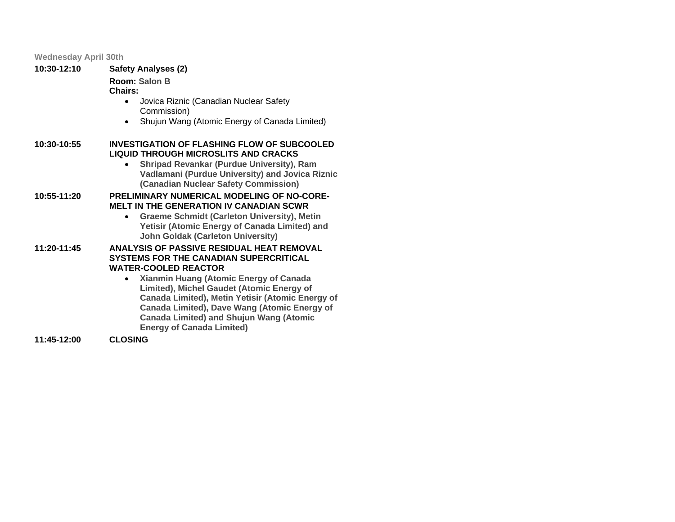#### **Wednesday April 30th**

| 10:30-12:10 | <b>Safety Analyses (2)</b>                            |
|-------------|-------------------------------------------------------|
|             | Room: Salon B<br><b>Chairs:</b>                       |
|             | Jovica Riznic (Canadian Nuclear Safety<br>Commission) |

• Shujun Wang (Atomic Energy of Canada Limited)

#### **10:30-10:55 INVESTIGATION OF FLASHING FLOW OF SUBCOOLED LIQUID THROUGH MICROSLITS AND CRACKS**

• **Shripad Revankar (Purdue University), Ram Vadlamani (Purdue University) and Jovica Riznic (Canadian Nuclear Safety Commission)**

#### **10:55-11:20 PRELIMINARY NUMERICAL MODELING OF NO-CORE-MELT IN THE GENERATION IV CANADIAN SCWR**

• **Graeme Schmidt (Carleton University), Metin Yetisir (Atomic Energy of Canada Limited) and John Goldak (Carleton University)**

#### **11:20-11:45 ANALYSIS OF PASSIVE RESIDUAL HEAT REMOVAL SYSTEMS FOR THE CANADIAN SUPERCRITICAL WATER-COOLED REACTOR**

• **Xianmin Huang (Atomic Energy of Canada Limited), Michel Gaudet (Atomic Energy of Canada Limited), Metin Yetisir (Atomic Energy of Canada Limited), Dave Wang (Atomic Energy of Canada Limited) and Shujun Wang (Atomic Energy of Canada Limited)**

**11:45-12:00CLOSING**